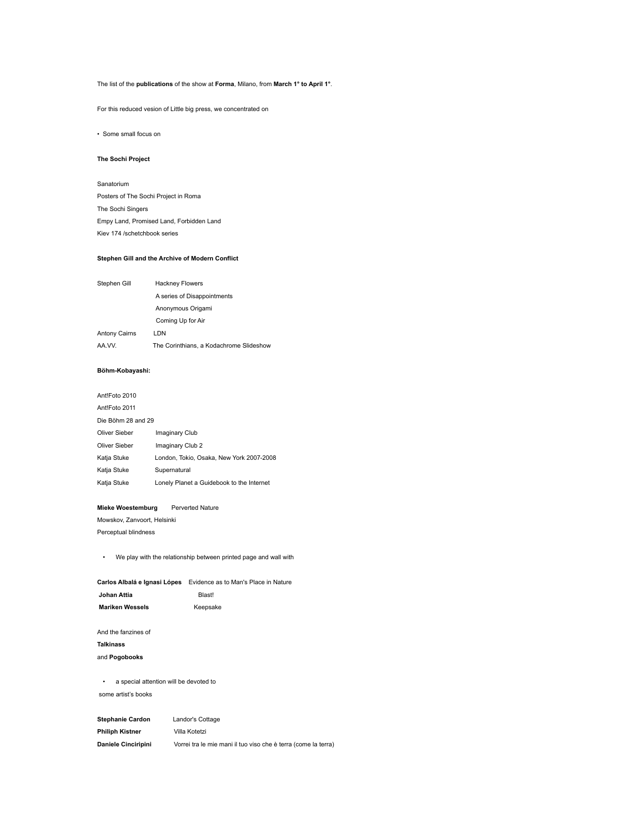## The list of the **publications** of the show at **Forma**, Milano, from **March 1° to April 1°**.

For this reduced vesion of Little big press, we concentrated on

• Some small focus on

#### **The Sochi Project**

Sanatorium Posters of The Sochi Project in Roma The Sochi Singers Empy Land, Promised Land, Forbidden Land Kiev 174 /schetchbook series

#### **Stephen Gill and the Archive of Modern Conflict**

| Stephen Gill         | <b>Hackney Flowers</b>                  |  |
|----------------------|-----------------------------------------|--|
|                      | A series of Disappointments             |  |
|                      | Anonymous Origami                       |  |
|                      | Coming Up for Air                       |  |
| <b>Antony Cairns</b> | LDN                                     |  |
| AA.VV.               | The Corinthians, a Kodachrome Slideshow |  |

## **Böhm-Kobayashi:**

| Ant!Foto 2010      |                                           |  |
|--------------------|-------------------------------------------|--|
| Ant!Foto 2011      |                                           |  |
| Die Böhm 28 and 29 |                                           |  |
| Oliver Sieber      | Imaginary Club                            |  |
| Oliver Sieber      | Imaginary Club 2                          |  |
| Katja Stuke        | London, Tokio, Osaka, New York 2007-2008  |  |
| Katja Stuke        | Supernatural                              |  |
| Katja Stuke        | Lonely Planet a Guidebook to the Internet |  |

#### **Mieke Woestemburg** Perverted Nature

Mowskov, Zanvoort, Helsinki Perceptual blindness

• We play with the relationship between printed page and wall with

| Evidence as to Man's Place in Nature |
|--------------------------------------|
| Blast!                               |
| Keepsake                             |
|                                      |

And the fanzines of

# **Talkinass** and **Pogobooks**

• a special attention will be devoted to some artist's books

**Stephanie Cardon** Landor's Cottage **Philiph Kistner** Villa Kotetzi **Daniele Cinciripini** Vorrei tra le mie mani il tuo viso che è terra (come la terra)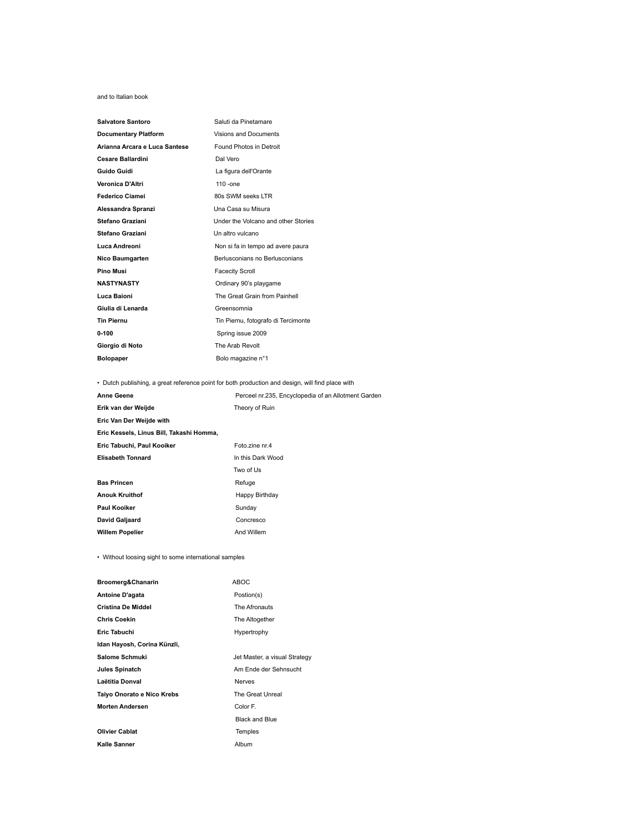#### and to Italian book

| Salvatore Santoro             | Saluti da Pinetamare                |
|-------------------------------|-------------------------------------|
| <b>Documentary Platform</b>   | <b>Visions and Documents</b>        |
| Arianna Arcara e Luca Santese | Found Photos in Detroit             |
| <b>Cesare Ballardini</b>      | Dal Vero                            |
| Guido Guidi                   | La figura dell'Orante               |
| Veronica D'Altri              | $110 -$ one                         |
| Federico Ciamei               | 80s SWM seeks LTR                   |
| Alessandra Spranzi            | Una Casa su Misura                  |
| <b>Stefano Graziani</b>       | Under the Volcano and other Stories |
| <b>Stefano Graziani</b>       | Un altro vulcano                    |
| Luca Andreoni                 | Non si fa in tempo ad avere paura   |
| Nico Baumgarten               | Berlusconians no Berlusconians      |
| Pino Musi                     | <b>Facecity Scroll</b>              |
| <b>NASTYNASTY</b>             | Ordinary 90's playgame              |
| Luca Baioni                   | The Great Grain from Painhell       |
| Giulia di Lenarda             | Greensomnia                         |
| <b>Tin Piernu</b>             | Tin Piernu, fotografo di Tercimonte |
| 0-100                         | Spring issue 2009                   |
| Giorgio di Noto               | The Arab Revolt                     |
| <b>Bolopaper</b>              | Bolo magazine n°1                   |
|                               |                                     |

## • Dutch publishing, a great reference point for both production and design, will find place with

| <b>Anne Geene</b>                        | Perceel nr.235, Encyclopedia of an Allotment Garden |  |
|------------------------------------------|-----------------------------------------------------|--|
| Erik van der Weijde                      | Theory of Ruin                                      |  |
| Eric Van Der Weijde with                 |                                                     |  |
| Eric Kessels, Linus Bill, Takashi Homma, |                                                     |  |
| Eric Tabuchi, Paul Kooiker               | Foto zine nr.4                                      |  |
| <b>Elisabeth Tonnard</b>                 | In this Dark Wood                                   |  |
|                                          | Two of Us                                           |  |
| <b>Bas Princen</b>                       | Refuge                                              |  |
| <b>Anouk Kruithof</b>                    | Happy Birthday                                      |  |
| Paul Kooiker                             | Sunday                                              |  |
| David Galjaard                           | Concresco                                           |  |
| <b>Willem Popelier</b>                   | And Willem                                          |  |

• Without loosing sight to some international samples

| Broomerg&Chanarin           | <b>ABOC</b>                   |
|-----------------------------|-------------------------------|
| Antoine D'agata             | Postion(s)                    |
| <b>Cristina De Middel</b>   | The Afronauts                 |
| <b>Chris Coekin</b>         | The Altogether                |
| Eric Tabuchi                | Hypertrophy                   |
| Idan Hayosh, Corina Künzli, |                               |
| Salome Schmuki              | Jet Master, a visual Strategy |
| Jules Spinatch              | Am Ende der Sehnsucht         |
| Laëtitia Donval             | <b>Nerves</b>                 |
| Taiyo Onorato e Nico Krebs  | The Great Unreal              |
| <b>Morten Andersen</b>      | Color F.                      |
|                             | <b>Black and Blue</b>         |
| <b>Olivier Cablat</b>       | <b>Temples</b>                |
| Kalle Sanner                | Album                         |
|                             |                               |